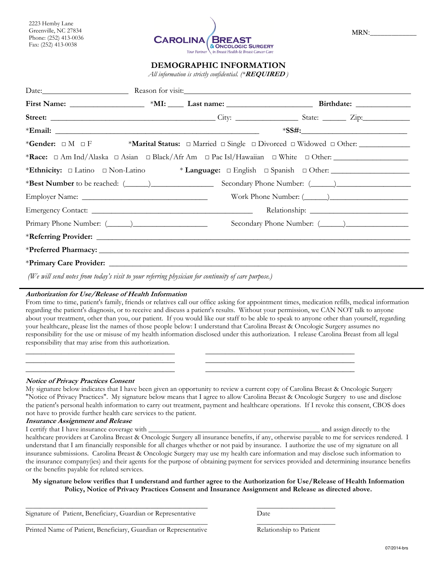

MRN:

### DEMOGRAPHIC INFORMATION

All information is strictly confidential. (\* $REQUIRED$ )

| Date: Reason for visit: Reason for visit:                                                            |  |                                                                                 |  |
|------------------------------------------------------------------------------------------------------|--|---------------------------------------------------------------------------------|--|
|                                                                                                      |  |                                                                                 |  |
|                                                                                                      |  |                                                                                 |  |
|                                                                                                      |  |                                                                                 |  |
| *Gender: $\Box$ M $\Box$ F                                                                           |  | *Marital Status: □ Married □ Single □ Divorced □ Widowed □ Other: _____________ |  |
|                                                                                                      |  |                                                                                 |  |
| *Ethnicity: Latino I Non-Latino * Language: I English I Spanish I Other: ___________________________ |  |                                                                                 |  |
|                                                                                                      |  |                                                                                 |  |
|                                                                                                      |  |                                                                                 |  |
|                                                                                                      |  |                                                                                 |  |
|                                                                                                      |  |                                                                                 |  |
|                                                                                                      |  |                                                                                 |  |
|                                                                                                      |  |                                                                                 |  |
|                                                                                                      |  |                                                                                 |  |
|                                                                                                      |  |                                                                                 |  |

### (We will send notes from today's visit to your referring physician for continuity of care purpose.)

### Authorization for Use/Release of Health Information

From time to time, patient's family, friends or relatives call our office asking for appointment times, medication refills, medical information regarding the patient's diagnosis, or to receive and discuss a patient's results. Without your permission, we CAN NOT talk to anyone about your treatment, other than you, our patient. If you would like our staff to be able to speak to anyone other than yourself, regarding your healthcare, please list the names of those people below: I understand that Carolina Breast & Oncologic Surgery assumes no responsibility for the use or misuse of my health information disclosed under this authorization. I release Carolina Breast from all legal responsibility that may arise from this authorization.

\_\_\_\_\_\_\_\_\_\_\_\_\_\_\_\_\_\_\_\_\_\_\_\_\_\_\_\_\_\_\_\_\_\_\_\_\_\_ \_\_\_\_\_\_\_\_\_\_\_\_\_\_\_\_\_\_\_\_\_\_\_\_\_\_\_\_\_\_\_\_\_\_\_\_\_\_ \_\_\_\_\_\_\_\_\_\_\_\_\_\_\_\_\_\_\_\_\_\_\_\_\_\_\_\_\_\_\_\_\_\_\_\_\_\_ \_\_\_\_\_\_\_\_\_\_\_\_\_\_\_\_\_\_\_\_\_\_\_\_\_\_\_\_\_\_\_\_\_\_\_\_\_\_ \_\_\_\_\_\_\_\_\_\_\_\_\_\_\_\_\_\_\_\_\_\_\_\_\_\_\_\_\_\_\_\_\_\_\_\_\_\_ \_\_\_\_\_\_\_\_\_\_\_\_\_\_\_\_\_\_\_\_\_\_\_\_\_\_\_\_\_\_\_\_\_\_\_\_\_\_

#### Notice of Privacy Practices Consent

My signature below indicates that I have been given an opportunity to review a current copy of Carolina Breast & Oncologic Surgery "Notice of Privacy Practices". My signature below means that I agree to allow Carolina Breast & Oncologic Surgery to use and disclose the patient's personal health information to carry out treatment, payment and healthcare operations. If I revoke this consent, CBOS does not have to provide further health care services to the patient.

### Insurance Assignment and Release

I certify that I have insurance coverage with  $\blacksquare$ healthcare providers at Carolina Breast & Oncologic Surgery all insurance benefits, if any, otherwise payable to me for services rendered. I understand that I am financially responsible for all charges whether or not paid by insurance. I authorize the use of my signature on all insurance submissions. Carolina Breast & Oncologic Surgery may use my health care information and may disclose such information to the insurance company(ies) and their agents for the purpose of obtaining payment for services provided and determining insurance benefits or the benefits payable for related services.

### My signature below verifies that I understand and further agree to the Authorization for Use/Release of Health Information Policy, Notice of Privacy Practices Consent and Insurance Assignment and Release as directed above.

Signature of Patient, Beneficiary, Guardian or Representative Date

\_\_\_\_\_\_\_\_\_\_\_\_\_\_\_\_\_\_\_\_\_\_\_\_\_\_\_\_\_\_\_\_\_\_\_\_\_\_\_\_\_\_\_\_\_\_\_\_\_\_\_ \_\_\_\_\_\_\_\_\_\_\_\_\_\_\_\_\_\_\_\_\_\_

\_\_\_\_\_\_\_\_\_\_\_\_\_\_\_\_\_\_\_\_\_\_\_\_\_\_\_\_\_\_\_\_\_\_\_\_\_\_\_\_\_\_\_\_\_\_\_\_\_\_\_ \_\_\_\_\_\_\_\_\_\_\_\_\_\_\_\_\_\_\_\_\_\_ Printed Name of Patient, Beneficiary, Guardian or Representative Relationship to Patient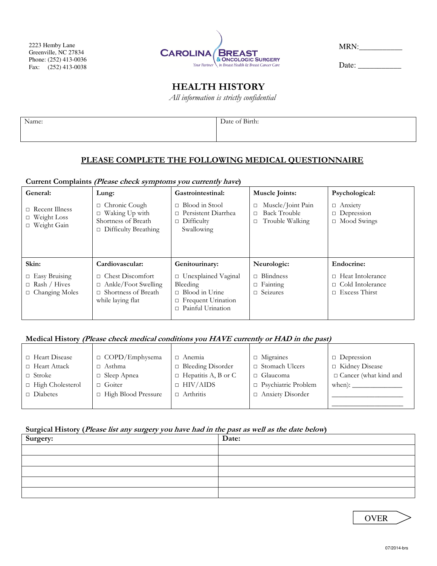2223 Hemby Lane Greenville, NC 27834 Phone: (252) 413-0036 Fax: (252) 413-0038



MRN:\_\_\_\_\_\_\_\_\_\_\_

Date: \_\_\_\_\_\_\_\_\_\_\_

# HEALTH HISTORY

All information is strictly confidential

Name: Date of Birth:

## PLEASE COMPLETE THE FOLLOWING MEDICAL QUESTIONNAIRE

| Current Complaints (Please check symptoms you currently have) |  |  |
|---------------------------------------------------------------|--|--|
|                                                               |  |  |

| General:                                                             | Lung:                                                                                               | Gastrointestinal:                                                                        | Muscle Joints:                                                        | Psychological:                                                            |
|----------------------------------------------------------------------|-----------------------------------------------------------------------------------------------------|------------------------------------------------------------------------------------------|-----------------------------------------------------------------------|---------------------------------------------------------------------------|
| $\Box$ Recent Illness<br>$\Box$ Weight Loss<br>$\Box$ Weight Gain    | $\Box$ Chronic Cough<br>$\Box$ Waking Up with<br>Shortness of Breath<br>$\Box$ Difficulty Breathing | Blood in Stool<br>$\Box$<br>Persistent Diarrhea<br>П.<br>$\Box$ Difficulty<br>Swallowing | Muscle/Joint Pain<br>$\Box$<br><b>Back Trouble</b><br>Trouble Walking | $\Box$ Anxiety<br>$\Box$ Depression<br>$\Box$ Mood Swings                 |
| Skin:                                                                | Cardiovascular:                                                                                     | Genitourinary:                                                                           | Neurologic:                                                           | Endocrine:                                                                |
| $\Box$ Easy Bruising<br>$\Box$ Rash / Hives<br>$\Box$ Changing Moles | $\Box$ Chest Discomfort<br>$\Box$ Ankle/Foot Swelling<br>$\Box$ Shortness of Breath                 | $\Box$ Unexplained Vaginal<br>Bleeding<br>$\Box$ Blood in Urine                          | Blindness<br>п<br>$\Box$ Fainting<br>$\Box$ Seizures                  | $\Box$ Heat Intolerance<br>Cold Intolerance<br>П.<br>$\Box$ Excess Thirst |

### Medical History (Please check medical conditions you HAVE currently or HAD in the past)

| $\Box$ Heart Disease    | $\Box$ COPD/Emphysema | $\Box$ Anemia              | $\Box$ Migraines           | $\Box$ Depression            |
|-------------------------|-----------------------|----------------------------|----------------------------|------------------------------|
| $\Box$ Heart Attack     | 1 Asthma              | $\Box$ Bleeding Disorder   | □ Stomach Ulcers           | $\Box$ Kidney Disease        |
| $\Box$ Stroke           | $\Box$ Sleep Apnea    | $\Box$ Hepatitis A, B or C | $\Box$ Glaucoma            | $\Box$ Cancer (what kind and |
| $\Box$ High Cholesterol | $\Box$ Goiter         | $\Box$ HIV/AIDS            | $\Box$ Psychiatric Problem | when):                       |
| $\Box$ Diabetes         | □ High Blood Pressure | $\Box$ Arthritis           | <b>Anxiety Disorder</b>    |                              |
|                         |                       |                            |                            |                              |

### Surgical History (Please list any surgery you have had in the past as well as the date below)

| Surgery: | Date: |
|----------|-------|
|          |       |
|          |       |
|          |       |
|          |       |
|          |       |